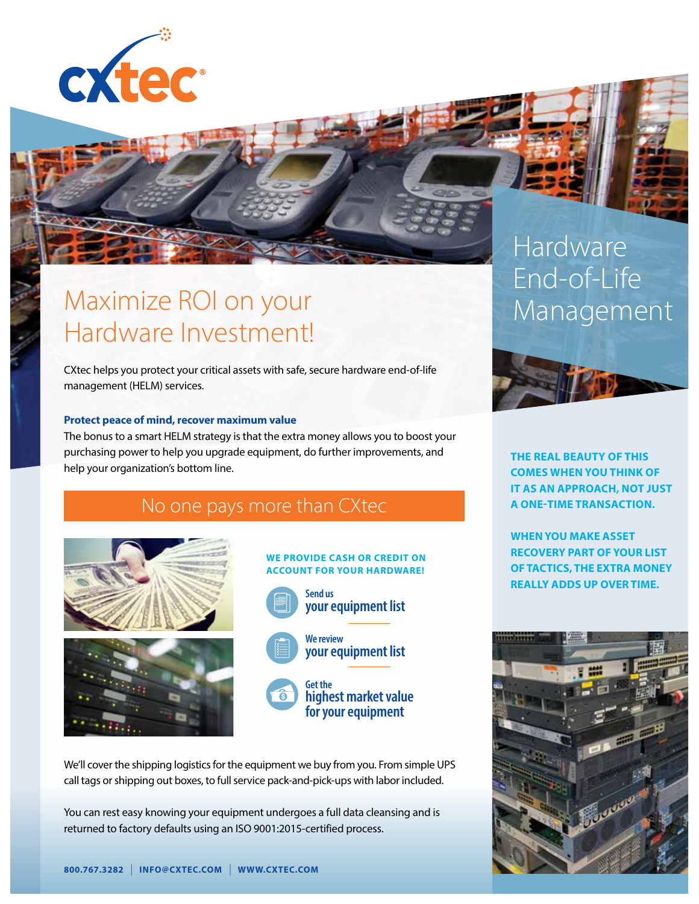

## Maximize ROI on your Hardware Investment!

CXtec helps you protect your critical assets with safe, secure hardware end-of-life management (HELM) services.

## **Protect peace of mind, recover maximum value**

The bonus to a smart HELM strategy is that the extra money allows you to boost your purchasing power to help you upgrade equipment, do further improvements, and help your organization's bottom line.

No one pays more than CXtec





## **WE PROVIDE CASH OR CREDIT ON ACCOUNT FOR YOUR HARDWARE! Send us your equipment list We review your equipment list Get the**

**highest market value for your equipment**

We'll cover the shipping logistics for the equipment we buy from you. From simple UPS call tags or shipping out boxes, to full service pack-and-pick-ups with labor included.

You can rest easy knowing your equipment undergoes a full data cleansing and is returned to factory defaults using an ISO 9001:2015-certified process.

# Hardware End-of-Life **Management**



**THE REAL BEAUTY OF THIS COMES WHEN YOU THINK OF IT AS AN APPROACH, NOT JUST A ONE-TIME TRANSACTION.**

**WHEN YOU MAKE ASSET RECOVERY PART OF YOUR LIST OF TACTICS, THE EXTRA MONEY REALLY ADDS UP OVER TIME.**